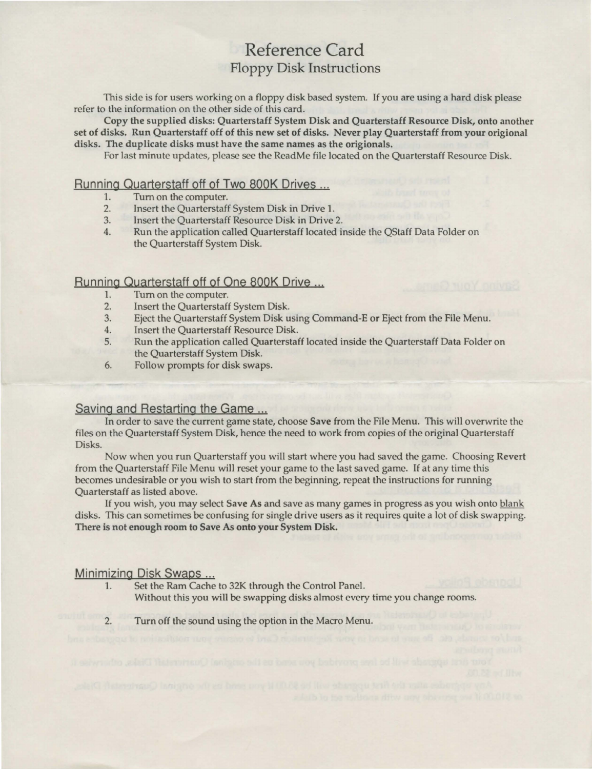# Reference Card Floppy Disk Instructions

This side is for users working on a floppy disk based system. If you are using a hard disk please refer to the information on the other side of this card.

Copy the supplied disks: Quarterstaff System Disk and Quarterstaff Resource Disk, onto another set of disks. Run Quarterstaff off of this new set of disks. Never play Quarterstaff from your origional disks. The duplicate disks must have the same names as the origionals.

For last minute updates, please see the ReadMe file located on the Quarterstaff Resource Disk.

## Running Quarterstaff off of Two SOOK Drives ...

- 1. Turn on the computer.<br>2. Insert the Ouarterstaff
- 2. Insert the Quarterstaff System Disk in Drive 1.
- 3. Insert the Quarterstaff Resource Disk in Drive 2.
- 4. Run the application called Quarterstaff located inside the QStaff Data Folder on the Quarterstaff System Disk.

### Running Quarterstaff off of One 800K Drive ...

- 1. Tum on the computer.
- 2. Insert the Quarterstaff System Disk.
- 3. Eject the Quarterstaff System Disk using Command-E or Eject from the File Menu.
- 4. Insert the Quarterstaff Resource Disk.
- 5. Run the application called Quarterstaff located inside the Quarterstaff Data Folder on the Quarterstaff System Disk.
- 6. Follow prompts for disk swaps.

### Saving and Restarting the Game ...

In order to save the current game state, choose Save from the File Menu. This will overwrite the files on the Quarterstaff System Disk, hence the need to work from copies of the original Quarterstaff Disks.

Now when you run Quarterstaff you will start where you had saved the game. Choosing Revert from the Quarterstaff File Menu will reset your game to the last saved game. If at any time this becomes undesirable or you wish to start from the beginning, repeat the instructions for running Quarterstaff as listed above.

If you wish, you may select Save As and save as many games in progress as you wish onto blank disks. This can sometimes be confusing for single drive users as it requires quite a lot of disk swapping. There is not enough room to Save As onto your System Disk.

#### Minimizing Disk Swaps ...

- 1. Set the Ram Cache to 32K through the Control Panel. Without this you will be swapping disks almost every time you change rooms.
- 2. Turn off the sound using the option in the Macro Menu.